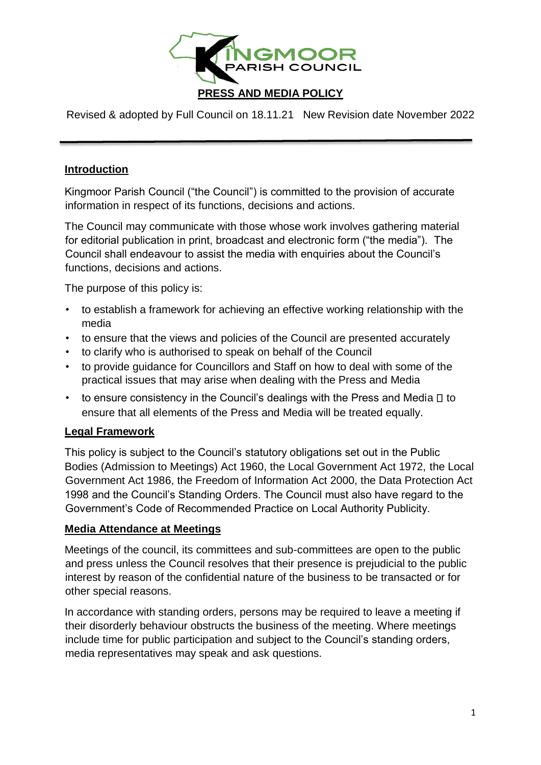

### **Introduction**

Kingmoor Parish Council ("the Council") is committed to the provision of accurate information in respect of its functions, decisions and actions.

The Council may communicate with those whose work involves gathering material for editorial publication in print, broadcast and electronic form ("the media"). The Council shall endeavour to assist the media with enquiries about the Council's functions, decisions and actions.

The purpose of this policy is:

- to establish a framework for achieving an effective working relationship with the media
- to ensure that the views and policies of the Council are presented accurately
- to clarify who is authorised to speak on behalf of the Council
- to provide guidance for Councillors and Staff on how to deal with some of the practical issues that may arise when dealing with the Press and Media
- to ensure consistency in the Council's dealings with the Press and Media  $\square$  to ensure that all elements of the Press and Media will be treated equally.

### **Legal Framework**

This policy is subject to the Council's statutory obligations set out in the Public Bodies (Admission to Meetings) Act 1960, the Local Government Act 1972, the Local Government Act 1986, the Freedom of Information Act 2000, the Data Protection Act 1998 and the Council's Standing Orders. The Council must also have regard to the Government's Code of Recommended Practice on Local Authority Publicity.

#### **Media Attendance at Meetings**

Meetings of the council, its committees and sub-committees are open to the public and press unless the Council resolves that their presence is prejudicial to the public interest by reason of the confidential nature of the business to be transacted or for other special reasons.

In accordance with standing orders, persons may be required to leave a meeting if their disorderly behaviour obstructs the business of the meeting. Where meetings include time for public participation and subject to the Council's standing orders, media representatives may speak and ask questions.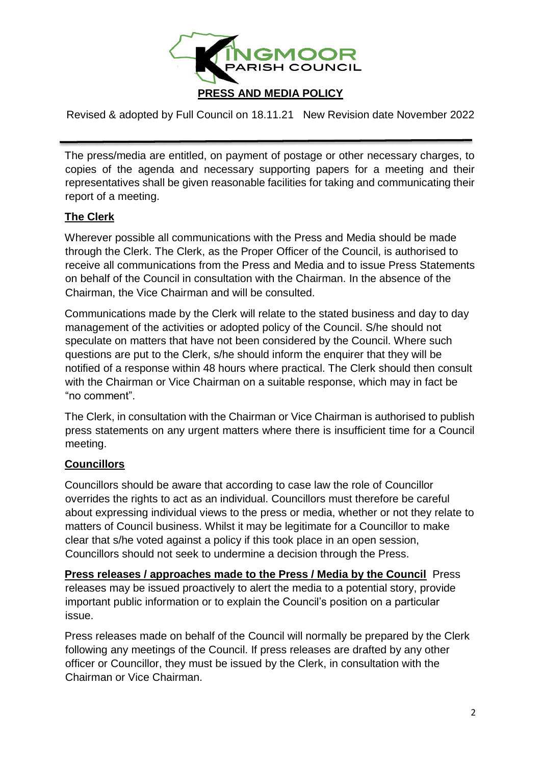

The press/media are entitled, on payment of postage or other necessary charges, to copies of the agenda and necessary supporting papers for a meeting and their representatives shall be given reasonable facilities for taking and communicating their report of a meeting.

## **The Clerk**

Wherever possible all communications with the Press and Media should be made through the Clerk. The Clerk, as the Proper Officer of the Council, is authorised to receive all communications from the Press and Media and to issue Press Statements on behalf of the Council in consultation with the Chairman. In the absence of the Chairman, the Vice Chairman and will be consulted.

Communications made by the Clerk will relate to the stated business and day to day management of the activities or adopted policy of the Council. S/he should not speculate on matters that have not been considered by the Council. Where such questions are put to the Clerk, s/he should inform the enquirer that they will be notified of a response within 48 hours where practical. The Clerk should then consult with the Chairman or Vice Chairman on a suitable response, which may in fact be "no comment".

The Clerk, in consultation with the Chairman or Vice Chairman is authorised to publish press statements on any urgent matters where there is insufficient time for a Council meeting.

### **Councillors**

Councillors should be aware that according to case law the role of Councillor overrides the rights to act as an individual. Councillors must therefore be careful about expressing individual views to the press or media, whether or not they relate to matters of Council business. Whilst it may be legitimate for a Councillor to make clear that s/he voted against a policy if this took place in an open session, Councillors should not seek to undermine a decision through the Press.

**Press releases / approaches made to the Press / Media by the Council** Press releases may be issued proactively to alert the media to a potential story, provide important public information or to explain the Council's position on a particular issue.

Press releases made on behalf of the Council will normally be prepared by the Clerk following any meetings of the Council. If press releases are drafted by any other officer or Councillor, they must be issued by the Clerk, in consultation with the Chairman or Vice Chairman.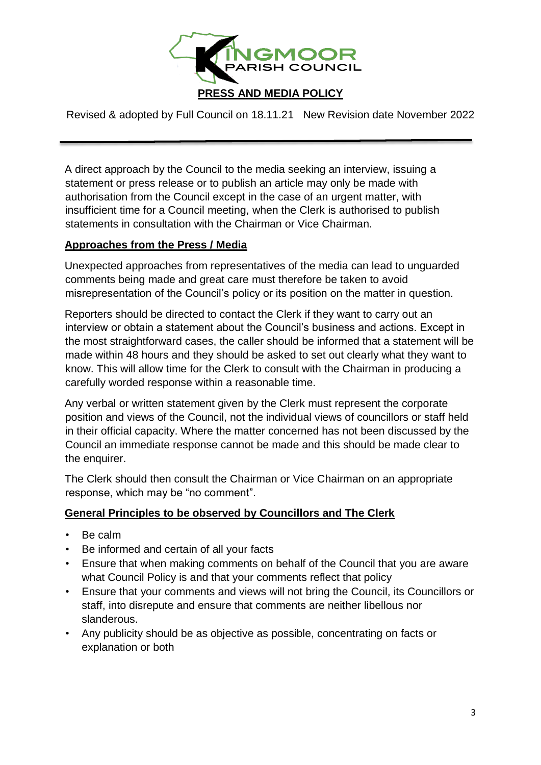

A direct approach by the Council to the media seeking an interview, issuing a statement or press release or to publish an article may only be made with authorisation from the Council except in the case of an urgent matter, with insufficient time for a Council meeting, when the Clerk is authorised to publish statements in consultation with the Chairman or Vice Chairman.

## **Approaches from the Press / Media**

Unexpected approaches from representatives of the media can lead to unguarded comments being made and great care must therefore be taken to avoid misrepresentation of the Council's policy or its position on the matter in question.

Reporters should be directed to contact the Clerk if they want to carry out an interview or obtain a statement about the Council's business and actions. Except in the most straightforward cases, the caller should be informed that a statement will be made within 48 hours and they should be asked to set out clearly what they want to know. This will allow time for the Clerk to consult with the Chairman in producing a carefully worded response within a reasonable time.

Any verbal or written statement given by the Clerk must represent the corporate position and views of the Council, not the individual views of councillors or staff held in their official capacity. Where the matter concerned has not been discussed by the Council an immediate response cannot be made and this should be made clear to the enquirer.

The Clerk should then consult the Chairman or Vice Chairman on an appropriate response, which may be "no comment".

### **General Principles to be observed by Councillors and The Clerk**

- Be calm
- Be informed and certain of all your facts
- Ensure that when making comments on behalf of the Council that you are aware what Council Policy is and that your comments reflect that policy
- Ensure that your comments and views will not bring the Council, its Councillors or staff, into disrepute and ensure that comments are neither libellous nor slanderous.
- Any publicity should be as objective as possible, concentrating on facts or explanation or both